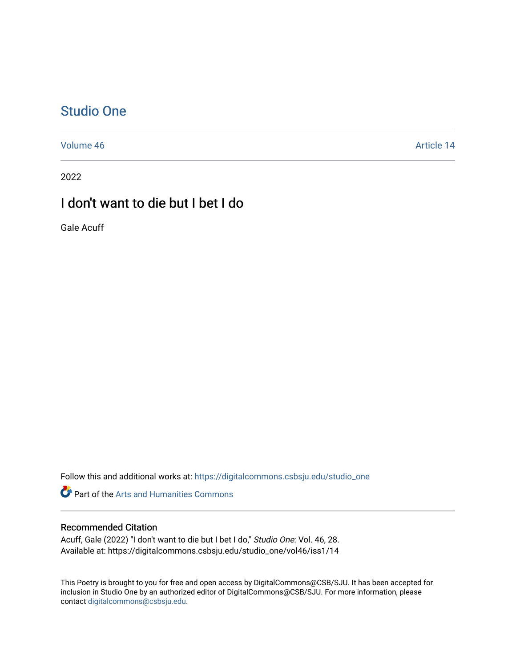## [Studio One](https://digitalcommons.csbsju.edu/studio_one)

[Volume 46](https://digitalcommons.csbsju.edu/studio_one/vol46) Article 14

2022

## I don't want to die but I bet I do

Gale Acuff

Follow this and additional works at: [https://digitalcommons.csbsju.edu/studio\\_one](https://digitalcommons.csbsju.edu/studio_one?utm_source=digitalcommons.csbsju.edu%2Fstudio_one%2Fvol46%2Fiss1%2F14&utm_medium=PDF&utm_campaign=PDFCoverPages) 

**Part of the Arts and Humanities Commons** 

## Recommended Citation

Acuff, Gale (2022) "I don't want to die but I bet I do," Studio One: Vol. 46, 28. Available at: https://digitalcommons.csbsju.edu/studio\_one/vol46/iss1/14

This Poetry is brought to you for free and open access by DigitalCommons@CSB/SJU. It has been accepted for inclusion in Studio One by an authorized editor of DigitalCommons@CSB/SJU. For more information, please contact [digitalcommons@csbsju.edu.](mailto:digitalcommons@csbsju.edu)